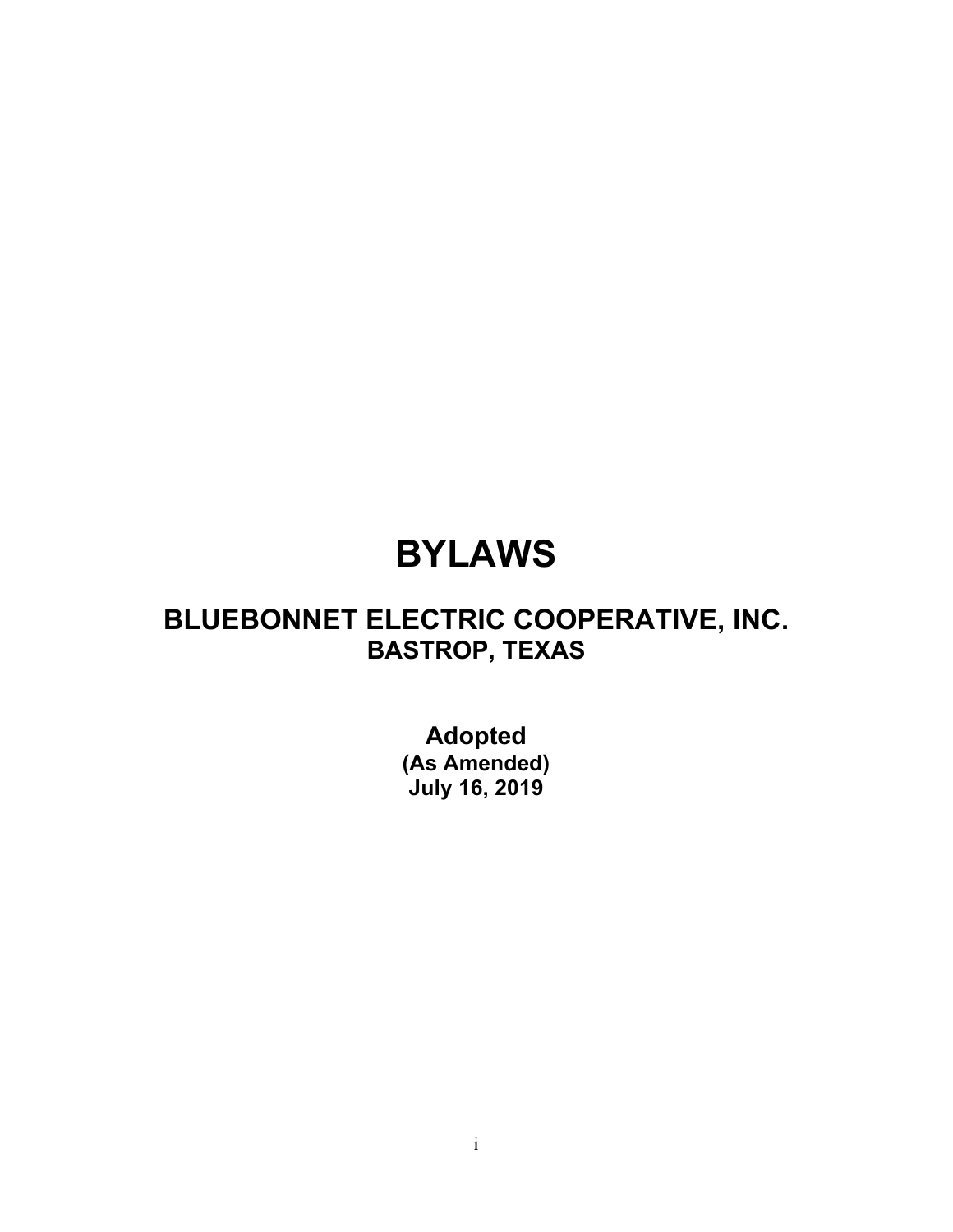# **BYLAWS**

# **BLUEBONNET ELECTRIC COOPERATIVE, INC. BASTROP, TEXAS**

**Adopted (As Amended) July 16, 2019**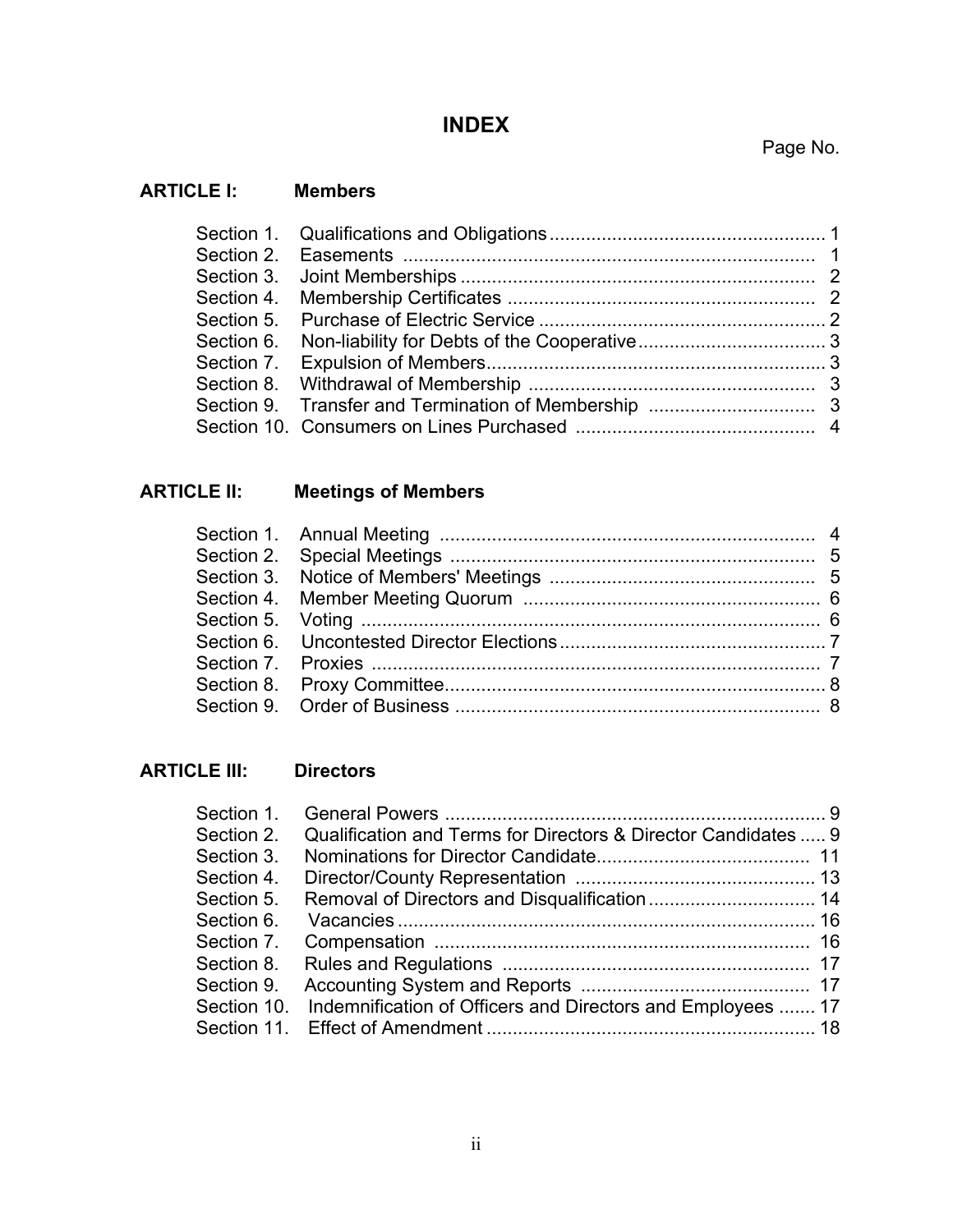# **INDEX**

## Page No.

#### **ARTICLE I: Members**

# **ARTICLE II: Meetings of Members**

## **ARTICLE III: Directors**

| Section 1. |                                                                         |  |
|------------|-------------------------------------------------------------------------|--|
| Section 2. | Qualification and Terms for Directors & Director Candidates  9          |  |
| Section 3. |                                                                         |  |
| Section 4. |                                                                         |  |
| Section 5. |                                                                         |  |
| Section 6. |                                                                         |  |
| Section 7. |                                                                         |  |
| Section 8. |                                                                         |  |
| Section 9. |                                                                         |  |
|            | Section 10. Indemnification of Officers and Directors and Employees  17 |  |
|            |                                                                         |  |